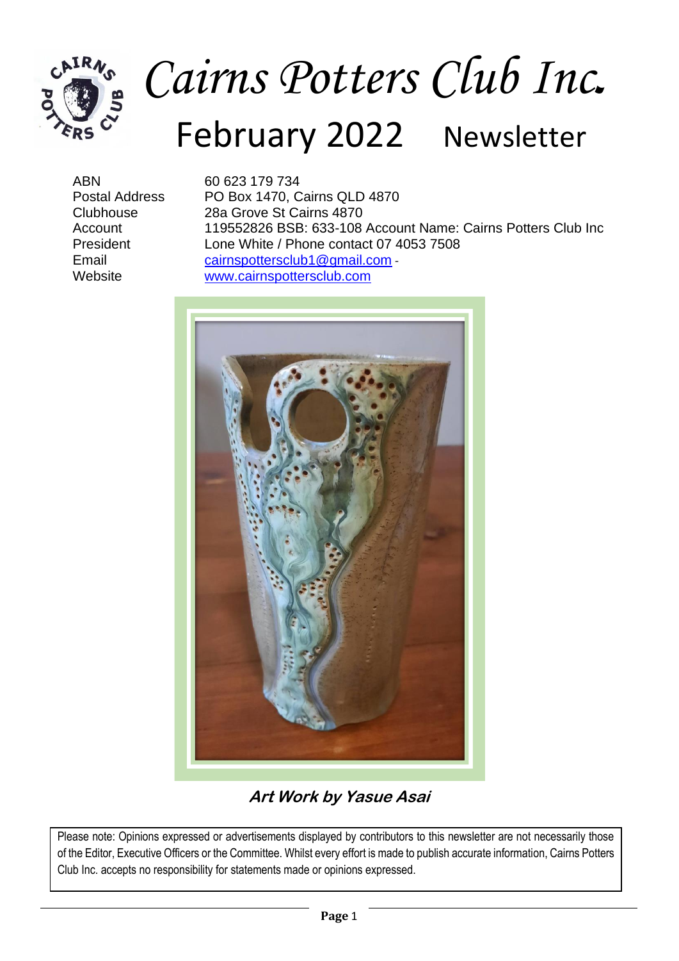

# *Cairns Potters Club Inc***.** February 2022 Newsletter

ABN 60 623 179 734 Postal Address PO Box 1470, Cairns QLD 4870 Clubhouse 28a Grove St Cairns 4870 Account 119552826 BSB: 633-108 Account Name: Cairns Potters Club Inc President Lone White / Phone contact 07 4053 7508 Email [cairnspottersclub1@gmail.com](mailto:cairnspottersclub1@gmail.com)<br>
Website www.cairnspottersclub.com [www.cairnspottersclub.com](http://www.cairnspottersclub.com/)



#### **Art Work by Yasue Asai**

Please note: Opinions expressed or advertisements displayed by contributors to this newsletter are not necessarily those of the Editor, Executive Officers or the Committee. Whilst every effort is made to publish accurate information, Cairns Potters Club Inc. accepts no responsibility for statements made or opinions expressed.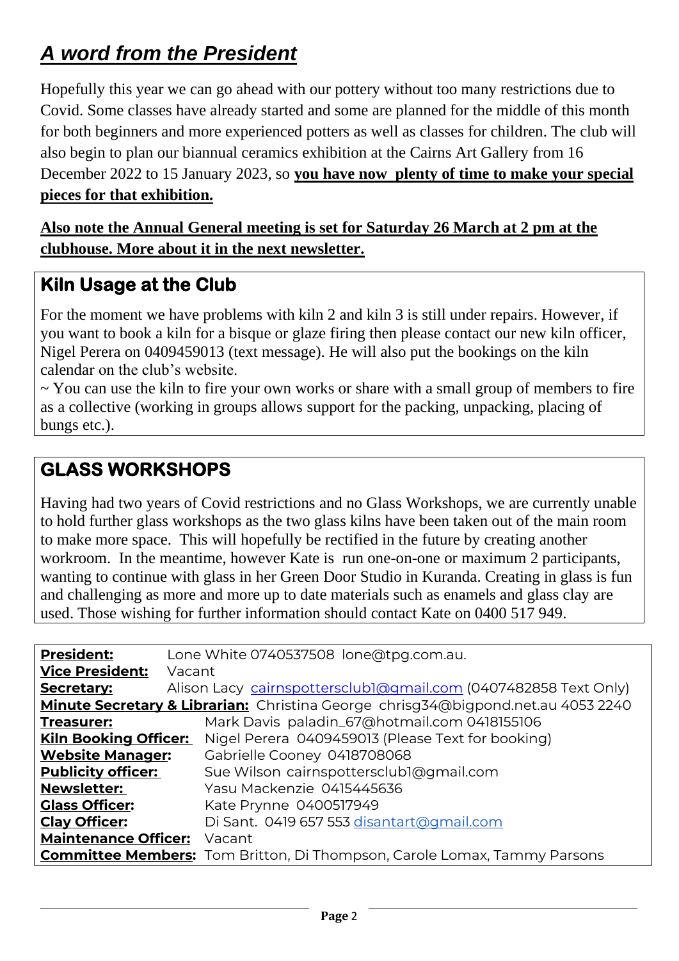## *A word from the President*

Hopefully this year we can go ahead with our pottery without too many restrictions due to Covid. Some classes have already started and some are planned for the middle of this month for both beginners and more experienced potters as well as classes for children. The club will also begin to plan our biannual ceramics exhibition at the Cairns Art Gallery from 16 December 2022 to 15 January 2023, so **you have now plenty of time to make your special pieces for that exhibition.**

**Also note the Annual General meeting is set for Saturday 26 March at 2 pm at the clubhouse. More about it in the next newsletter.**

#### **Kiln Usage at the Club**

For the moment we have problems with kiln 2 and kiln 3 is still under repairs. However, if you want to book a kiln for a bisque or glaze firing then please contact our new kiln officer, Nigel Perera on 0409459013 (text message). He will also put the bookings on the kiln calendar on the club's website.

 $\sim$  You can use the kiln to fire your own works or share with a small group of members to fire as a collective (working in groups allows support for the packing, unpacking, placing of bungs etc.).

#### **GLASS WORKSHOPS**

Having had two years of Covid restrictions and no Glass Workshops, we are currently unable to hold further glass workshops as the two glass kilns have been taken out of the main room to make more space. This will hopefully be rectified in the future by creating another workroom. In the meantime, however Kate is run one-on-one or maximum 2 participants, wanting to continue with glass in her Green Door Studio in Kuranda. Creating in glass is fun and challenging as more and more up to date materials such as enamels and glass clay are used. Those wishing for further information should contact Kate on 0400 517 949.

| <b>President:</b>                                                                | Lone White 0740537508 lone@tpg.com.au.                                          |  |  |  |  |  |
|----------------------------------------------------------------------------------|---------------------------------------------------------------------------------|--|--|--|--|--|
| <b>Vice President:</b>                                                           | Vacant                                                                          |  |  |  |  |  |
| Secretary:                                                                       | Alison Lacy cairnspottersclubl@gmail.com (0407482858 Text Only)                 |  |  |  |  |  |
| Minute Secretary & Librarian: Christina George chrisg34@bigpond.net.au 4053 2240 |                                                                                 |  |  |  |  |  |
| <b>Treasurer:</b>                                                                | Mark Davis paladin_67@hotmail.com 0418155106                                    |  |  |  |  |  |
| <b>Kiln Booking Officer:</b>                                                     | Nigel Perera 0409459013 (Please Text for booking)                               |  |  |  |  |  |
| <b>Website Manager:</b>                                                          | Gabrielle Cooney 0418708068                                                     |  |  |  |  |  |
| <b>Publicity officer:</b>                                                        | Sue Wilson cairnspottersclubl@gmail.com                                         |  |  |  |  |  |
| <b>Newsletter:</b>                                                               | Yasu Mackenzie 0415445636                                                       |  |  |  |  |  |
| <b>Glass Officer:</b>                                                            | Kate Prynne 0400517949                                                          |  |  |  |  |  |
| <b>Clay Officer:</b>                                                             | Di Sant. 0419 657 553 disantart@gmail.com                                       |  |  |  |  |  |
| <b>Maintenance Officer:</b>                                                      | Vacant                                                                          |  |  |  |  |  |
|                                                                                  | <b>Committee Members:</b> Tom Britton, Di Thompson, Carole Lomax, Tammy Parsons |  |  |  |  |  |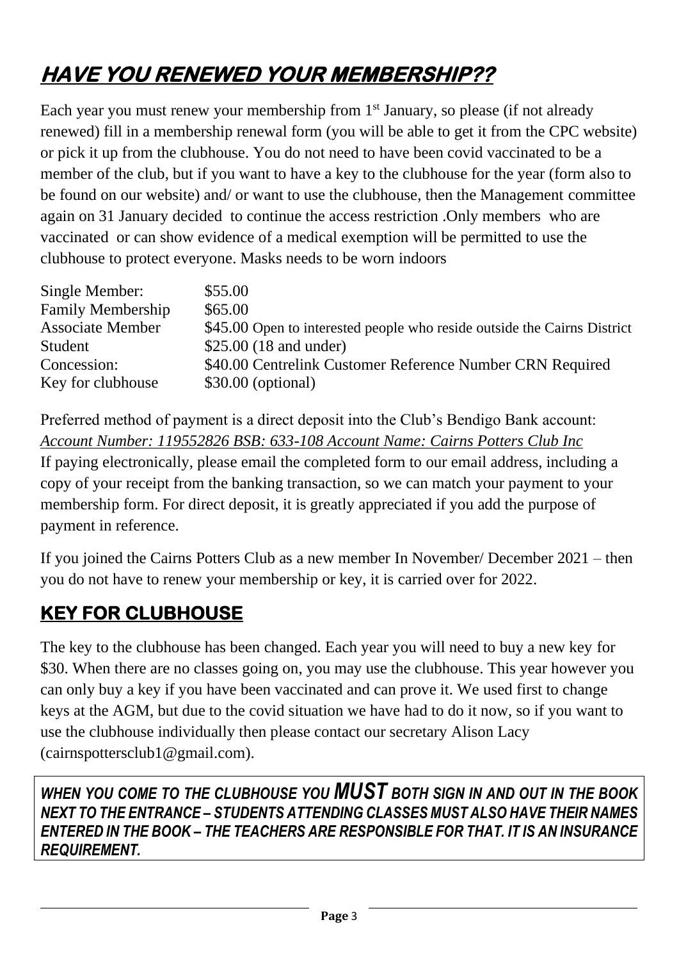# **HAVE YOU RENEWED YOUR MEMBERSHIP??**

Each year you must renew your membership from  $1<sup>st</sup>$  January, so please (if not already renewed) fill in a membership renewal form (you will be able to get it from the CPC website) or pick it up from the clubhouse. You do not need to have been covid vaccinated to be a member of the club, but if you want to have a key to the clubhouse for the year (form also to be found on our website) and/ or want to use the clubhouse, then the Management committee again on 31 January decided to continue the access restriction .Only members who are vaccinated or can show evidence of a medical exemption will be permitted to use the clubhouse to protect everyone. Masks needs to be worn indoors

| Single Member:           | \$55.00                                                                  |
|--------------------------|--------------------------------------------------------------------------|
| <b>Family Membership</b> | \$65.00                                                                  |
| <b>Associate Member</b>  | \$45.00 Open to interested people who reside outside the Cairns District |
| Student                  | \$25.00 $(18 \text{ and under})$                                         |
| Concession:              | \$40.00 Centrelink Customer Reference Number CRN Required                |
| Key for clubhouse        | \$30.00 (optional)                                                       |

Preferred method of payment is a direct deposit into the Club's Bendigo Bank account: *Account Number: 119552826 BSB: 633-108 Account Name: Cairns Potters Club Inc*

If paying electronically, please email the completed form to our email address, including a copy of your receipt from the banking transaction, so we can match your payment to your membership form. For direct deposit, it is greatly appreciated if you add the purpose of payment in reference.

If you joined the Cairns Potters Club as a new member In November/ December 2021 – then you do not have to renew your membership or key, it is carried over for 2022.

### **KEY FOR CLUBHOUSE**

The key to the clubhouse has been changed. Each year you will need to buy a new key for \$30. When there are no classes going on, you may use the clubhouse. This year however you can only buy a key if you have been vaccinated and can prove it. We used first to change keys at the AGM, but due to the covid situation we have had to do it now, so if you want to use the clubhouse individually then please contact our secretary Alison Lacy (cairnspottersclub1@gmail.com).

*WHEN YOU COME TO THE CLUBHOUSE YOU MUST BOTH SIGN IN AND OUT IN THE BOOK NEXT TO THE ENTRANCE – STUDENTS ATTENDING CLASSES MUST ALSO HAVE THEIR NAMES ENTERED IN THE BOOK – THE TEACHERS ARE RESPONSIBLE FOR THAT. IT IS AN INSURANCE REQUIREMENT.*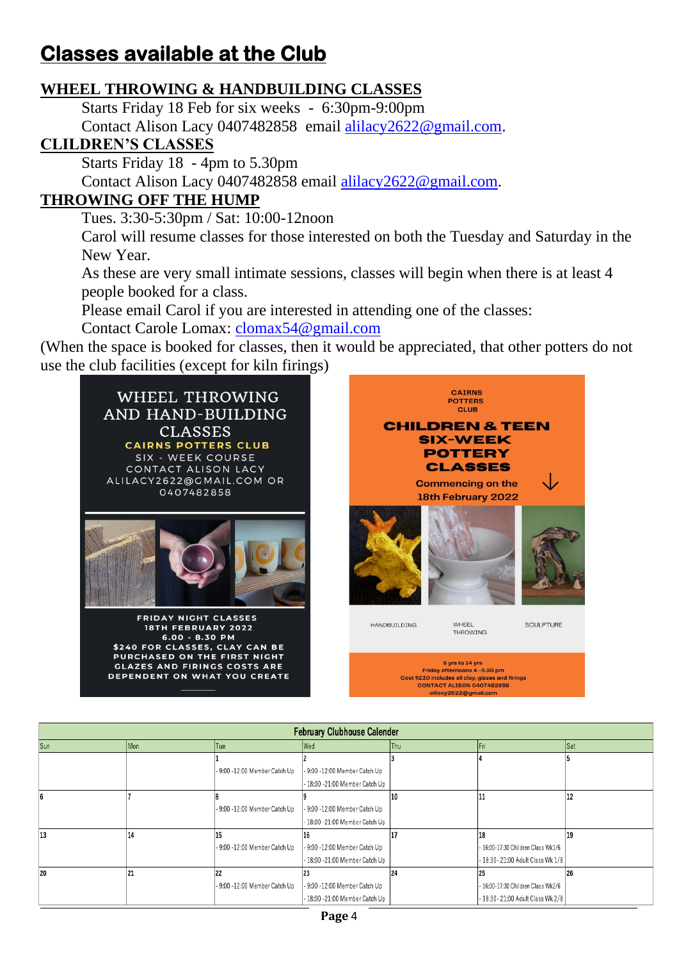## **Classes available at the Club**

#### **WHEEL THROWING & HANDBUILDING CLASSES**

Starts Friday 18 Feb for six weeks - 6:30pm-9:00pm Contact Alison Lacy 0407482858 email [alilacy2622@gmail.com.](mailto:alilacy2622@gmail.com)

#### **CLILDREN'S CLASSES**

Starts Friday 18 - 4pm to 5.30pm

Contact Alison Lacy 0407482858 email [alilacy2622@gmail.com.](mailto:alilacy2622@gmail.com)

#### **THROWING OFF THE HUMP**

Tues. 3:30-5:30pm / Sat: 10:00-12noon

Carol will resume classes for those interested on both the Tuesday and Saturday in the New Year.

As these are very small intimate sessions, classes will begin when there is at least 4 people booked for a class.

Please email Carol if you are interested in attending one of the classes:

Contact Carole Lomax: [clomax54@gmail.com](mailto:clomax54@gmail.com)

(When the space is booked for classes, then it would be appreciated, that other potters do not use the club facilities (except for kiln firings)



| <b>February Clubhouse Calender</b> |     |                               |                                |            |                                    |     |  |  |
|------------------------------------|-----|-------------------------------|--------------------------------|------------|------------------------------------|-----|--|--|
| Sun                                | Mon | Tue                           | Wed                            | <b>Thu</b> |                                    | Sat |  |  |
|                                    |     |                               |                                |            |                                    |     |  |  |
|                                    |     | - 9:00 -12:00 Member Catch Up | - 9:00 -12:00 Member Catch Up  |            |                                    |     |  |  |
|                                    |     |                               | - 18:00 -21:00 Member Catch Up |            |                                    |     |  |  |
|                                    |     |                               |                                | 10         |                                    | 12  |  |  |
|                                    |     | - 9:00 -12:00 Member Catch Up | - 9:00 -12:00 Member Catch Up  |            |                                    |     |  |  |
|                                    |     |                               | - 18:00 -21:00 Member Catch Up |            |                                    |     |  |  |
| 13                                 | 14  | 15                            | 16                             |            | 18                                 | 19  |  |  |
|                                    |     | - 9:00 -12:00 Member Catch Up | - 9:00 -12:00 Member Catch Up  |            | - 16:00-17:30 Children Class Wk1/6 |     |  |  |
|                                    |     |                               | - 18:00 -21:00 Member Catch Up |            | - 18:30-21:00 Adult Class Wk 1/8   |     |  |  |
| 20                                 |     | 22                            | 23                             | 24         | 25                                 | 26  |  |  |
|                                    |     | - 9:00 -12:00 Member Catch Up | - 9:00 -12:00 Member Catch Up  |            | - 16:00-17:30 Children Class Wk2/6 |     |  |  |
|                                    |     |                               | - 18:00 -21:00 Member Catch Up |            | - 18:30- 21:00 Adult Class Wk 2/8  |     |  |  |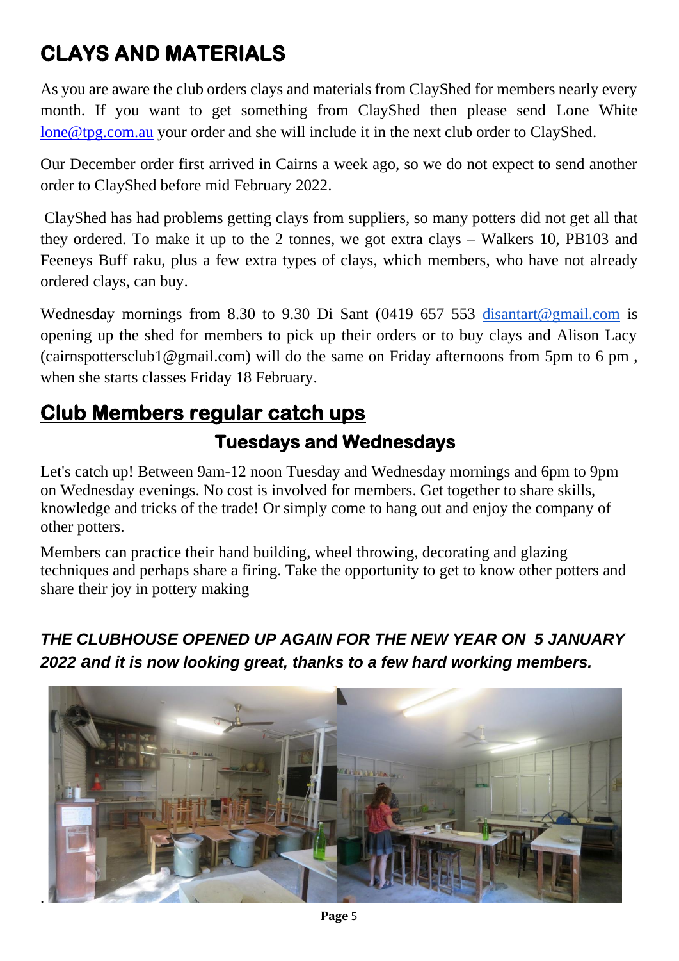# **CLAYS AND MATERIALS**

As you are aware the club orders clays and materials from ClayShed for members nearly every month. If you want to get something from ClayShed then please send Lone White [lone@tpg.com.au](mailto:lone@tpg.com.au) your order and she will include it in the next club order to ClayShed.

Our December order first arrived in Cairns a week ago, so we do not expect to send another order to ClayShed before mid February 2022.

ClayShed has had problems getting clays from suppliers, so many potters did not get all that they ordered. To make it up to the 2 tonnes, we got extra clays – Walkers 10, PB103 and Feeneys Buff raku, plus a few extra types of clays, which members, who have not already ordered clays, can buy.

Wednesday mornings from 8.30 to 9.30 Di Sant (0419 657 553 [disantart@gmail.com](mailto:disantart@gmail.com) is opening up the shed for members to pick up their orders or to buy clays and Alison Lacy (cairnspottersclub1@gmail.com) will do the same on Friday afternoons from 5pm to 6 pm , when she starts classes Friday 18 February.

## **Club Members regular catch ups Tuesdays and Wednesdays**

Let's catch up! Between 9am-12 noon Tuesday and Wednesday mornings and 6pm to 9pm on Wednesday evenings. No cost is involved for members. Get together to share skills, knowledge and tricks of the trade! Or simply come to hang out and enjoy the company of other potters.

Members can practice their hand building, wheel throwing, decorating and glazing techniques and perhaps share a firing. Take the opportunity to get to know other potters and share their joy in pottery making

*THE CLUBHOUSE OPENED UP AGAIN FOR THE NEW YEAR ON 5 JANUARY 2022 and it is now looking great, thanks to a few hard working members.*

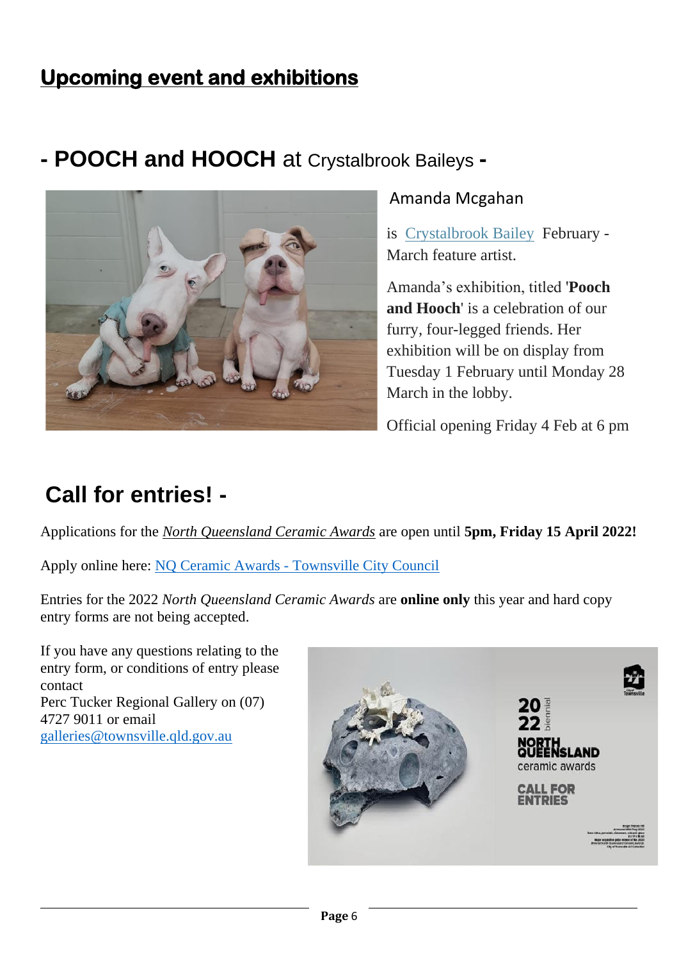## **Upcoming event and exhibitions**

## **- POOCH and HOOCH** at Crystalbrook Baileys **-**



#### Amanda Mcgahan

is [Crystalbrook](https://www.crystalbrookcollection.com/bailey) Bailey February - March feature artist.

Amanda's exhibition, titled '**Pooch and Hooch**' is a celebration of our furry, four-legged friends. Her exhibition will be on display from Tuesday 1 February until Monday 28 March in the lobby.

Official opening Friday 4 Feb at 6 pm

# **Call for entries! -**

Applications for the *North Queensland Ceramic Awards* are open until **5pm, Friday 15 April 2022!**

Apply online here: NQ Ceramic Awards - [Townsville City Council](https://townsville.smartygrants.com.au/22Ceramic)

Entries for the 2022 *North Queensland Ceramic Awards* are **online only** this year and hard copy entry forms are not being accepted.

If you have any questions relating to the entry form, or conditions of entry please contact Perc Tucker Regional Gallery on (07) 4727 9011 or email [galleries@townsville.qld.gov.au](mailto:galleries@townsville.qld.gov.au)

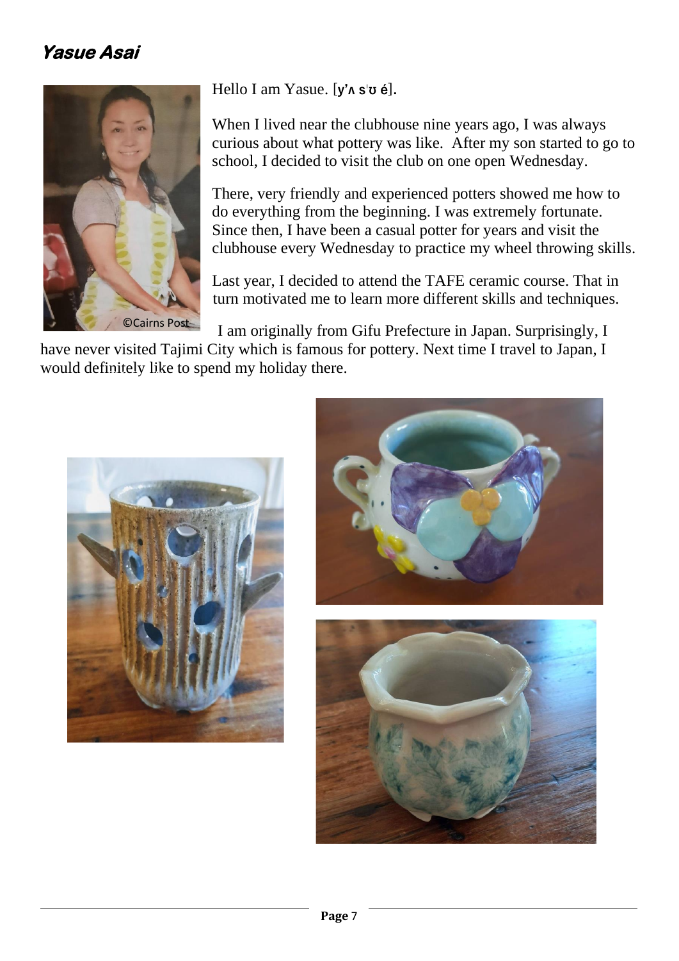#### **Yasue Asai**



Hello I am Yasue. **[y'ʌ s**ˈ**ʊ é].** 

When I lived near the clubhouse nine years ago, I was always curious about what pottery was like. After my son started to go to school, I decided to visit the club on one open Wednesday.

There, very friendly and experienced potters showed me how to do everything from the beginning. I was extremely fortunate. Since then, I have been a casual potter for years and visit the clubhouse every Wednesday to practice my wheel throwing skills.

Last year, I decided to attend the TAFE ceramic course. That in turn motivated me to learn more different skills and techniques.

I am originally from Gifu Prefecture in Japan. Surprisingly, I

have never visited Tajimi City which is famous for pottery. Next time I travel to Japan, I would definitely like to spend my holiday there.